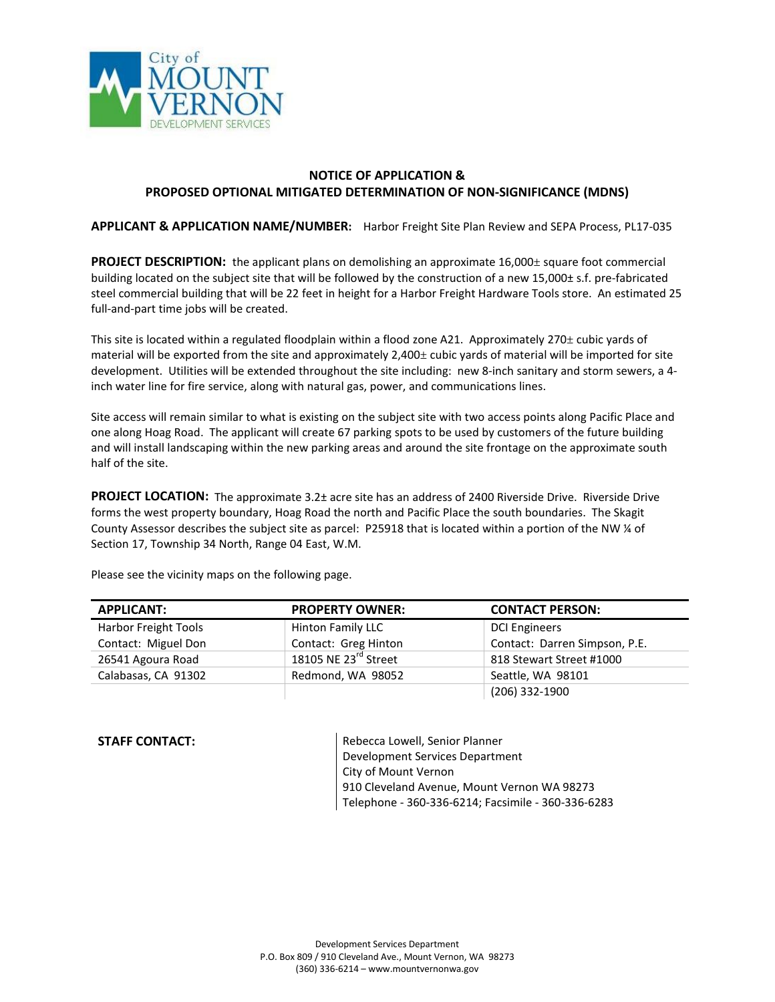

## **NOTICE OF APPLICATION & PROPOSED OPTIONAL MITIGATED DETERMINATION OF NON-SIGNIFICANCE (MDNS)**

**APPLICANT & APPLICATION NAME/NUMBER:** Harbor Freight Site Plan Review and SEPA Process, PL17-035

**PROJECT DESCRIPTION:** the applicant plans on demolishing an approximate 16,000± square foot commercial building located on the subject site that will be followed by the construction of a new 15,000± s.f. pre-fabricated steel commercial building that will be 22 feet in height for a Harbor Freight Hardware Tools store. An estimated 25 full-and-part time jobs will be created.

This site is located within a regulated floodplain within a flood zone A21. Approximately 270± cubic yards of material will be exported from the site and approximately 2,400± cubic yards of material will be imported for site development. Utilities will be extended throughout the site including: new 8-inch sanitary and storm sewers, a 4 inch water line for fire service, along with natural gas, power, and communications lines.

Site access will remain similar to what is existing on the subject site with two access points along Pacific Place and one along Hoag Road. The applicant will create 67 parking spots to be used by customers of the future building and will install landscaping within the new parking areas and around the site frontage on the approximate south half of the site.

**PROJECT LOCATION:** The approximate 3.2± acre site has an address of 2400 Riverside Drive. Riverside Drive forms the west property boundary, Hoag Road the north and Pacific Place the south boundaries. The Skagit County Assessor describes the subject site as parcel: P25918 that is located within a portion of the NW ¼ of Section 17, Township 34 North, Range 04 East, W.M.

| <b>APPLICANT:</b>    | <b>PROPERTY OWNER:</b> | <b>CONTACT PERSON:</b>        |
|----------------------|------------------------|-------------------------------|
| Harbor Freight Tools | Hinton Family LLC      | <b>DCI Engineers</b>          |
| Contact: Miguel Don  | Contact: Greg Hinton   | Contact: Darren Simpson, P.E. |
| 26541 Agoura Road    | 18105 NE 23rd Street   | 818 Stewart Street #1000      |
| Calabasas, CA 91302  | Redmond, WA 98052      | Seattle, WA 98101             |
|                      |                        | (206) 332-1900                |

Please see the vicinity maps on the following page.

**STAFF CONTACT:** Rebecca Lowell, Senior Planner Development Services Department City of Mount Vernon 910 Cleveland Avenue, Mount Vernon WA 98273 Telephone - 360-336-6214; Facsimile - 360-336-6283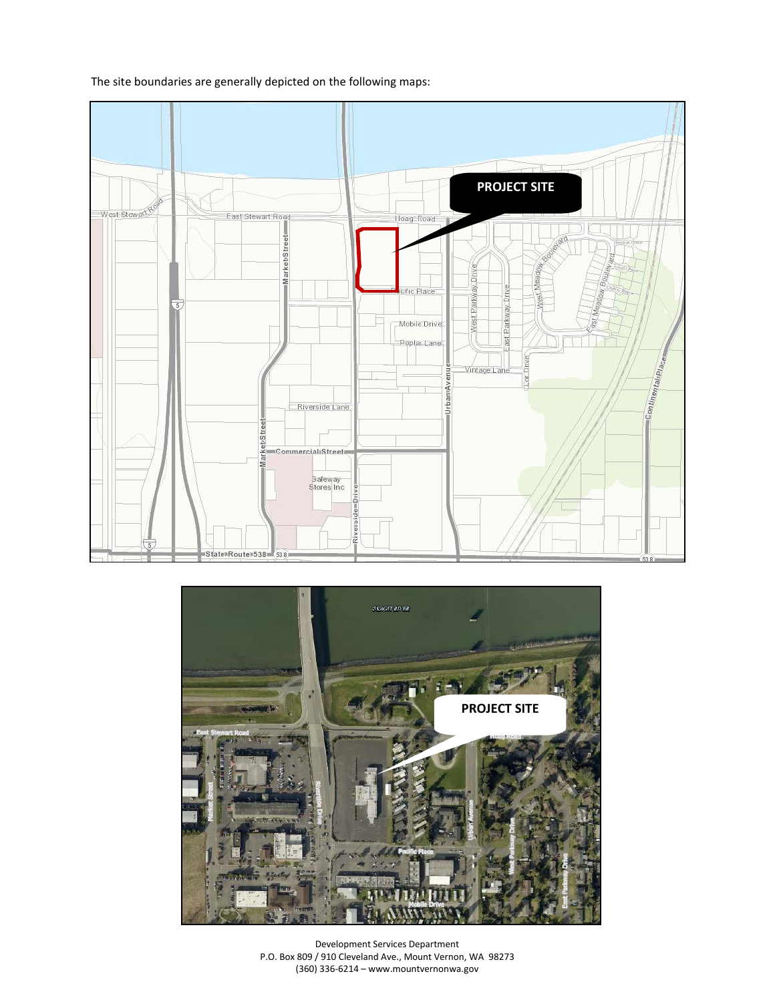The site boundaries are generally depicted on the following maps:





Development Services Department P.O. Box 809 / 910 Cleveland Ave., Mount Vernon, WA 98273 (360) 336-6214 – www.mountvernonwa.gov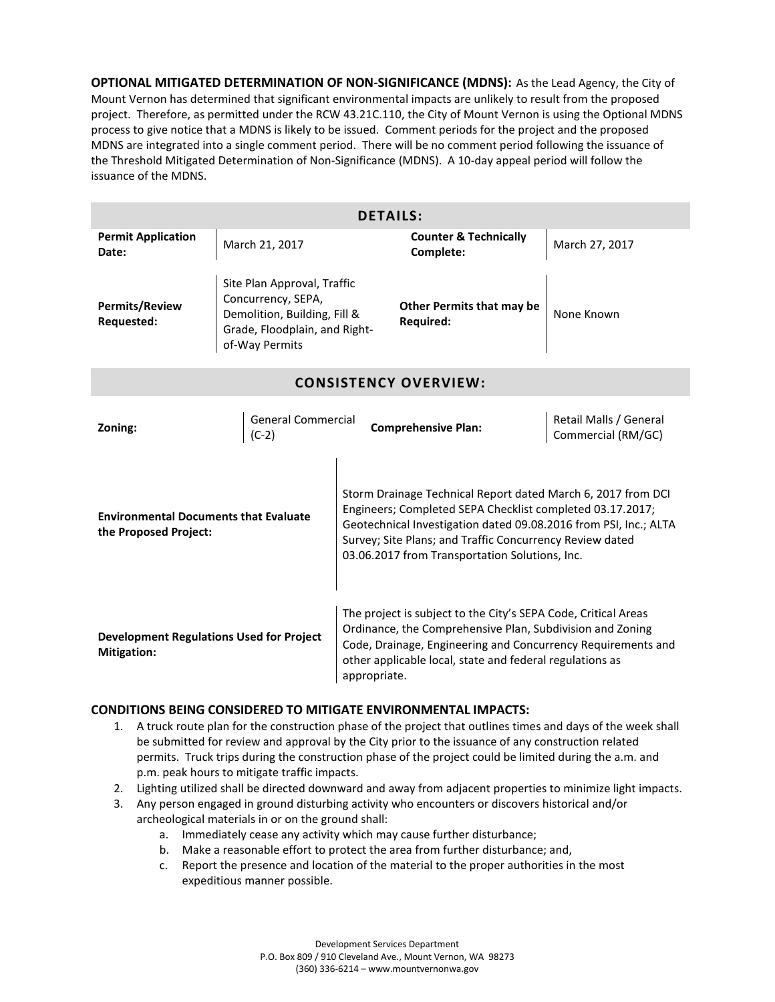**OPTIONAL MITIGATED DETERMINATION OF NON-SIGNIFICANCE (MDNS):** As the Lead Agency, the City of Mount Vernon has determined that significant environmental impacts are unlikely to result from the proposed project. Therefore, as permitted under the RCW 43.21C.110, the City of Mount Vernon is using the Optional MDNS process to give notice that a MDNS is likely to be issued. Comment periods for the project and the proposed MDNS are integrated into a single comment period. There will be no comment period following the issuance of the Threshold Mitigated Determination of Non-Significance (MDNS). A 10-day appeal period will follow the issuance of the MDNS.

| <b>DETAILS:</b>                                                       |                                                                                                                                      |                                                                                                                                                                                                                                                                                                             |                                                              |  |
|-----------------------------------------------------------------------|--------------------------------------------------------------------------------------------------------------------------------------|-------------------------------------------------------------------------------------------------------------------------------------------------------------------------------------------------------------------------------------------------------------------------------------------------------------|--------------------------------------------------------------|--|
| <b>Permit Application</b><br>Date:                                    | March 21, 2017                                                                                                                       | <b>Counter &amp; Technically</b><br>Complete:                                                                                                                                                                                                                                                               | March 27, 2017                                               |  |
| <b>Permits/Review</b><br>Requested:                                   | Site Plan Approval, Traffic<br>Concurrency, SEPA,<br>Demolition, Building, Fill &<br>Grade, Floodplain, and Right-<br>of-Way Permits | <b>Other Permits that may be</b><br><b>Required:</b>                                                                                                                                                                                                                                                        | None Known                                                   |  |
| <b>CONSISTENCY OVERVIEW:</b>                                          |                                                                                                                                      |                                                                                                                                                                                                                                                                                                             |                                                              |  |
| Zoning:                                                               | <b>General Commercial</b><br>$(C-2)$                                                                                                 | <b>Comprehensive Plan:</b>                                                                                                                                                                                                                                                                                  | Retail Malls / General<br>Commercial (RM/GC)                 |  |
| <b>Environmental Documents that Evaluate</b><br>the Proposed Project: |                                                                                                                                      | Storm Drainage Technical Report dated March 6, 2017 from DCI<br>Engineers; Completed SEPA Checklist completed 03.17.2017;<br>Geotechnical Investigation dated 09.08.2016 from PSI, Inc.; ALTA<br>Survey; Site Plans; and Traffic Concurrency Review dated<br>03.06.2017 from Transportation Solutions, Inc. |                                                              |  |
| <b>Development Regulations Used for Project</b><br><b>Mitigation:</b> |                                                                                                                                      | The project is subject to the City's SEPA Code, Critical Areas<br>Ordinance, the Comprehensive Plan, Subdivision and Zoning<br>other applicable local, state and federal regulations as<br>appropriate.                                                                                                     | Code, Drainage, Engineering and Concurrency Requirements and |  |

## **CONDITIONS BEING CONSIDERED TO MITIGATE ENVIRONMENTAL IMPACTS:**

- 1. A truck route plan for the construction phase of the project that outlines times and days of the week shall be submitted for review and approval by the City prior to the issuance of any construction related permits. Truck trips during the construction phase of the project could be limited during the a.m. and p.m. peak hours to mitigate traffic impacts.
- 2. Lighting utilized shall be directed downward and away from adjacent properties to minimize light impacts.
- 3. Any person engaged in ground disturbing activity who encounters or discovers historical and/or archeological materials in or on the ground shall:
	- a. Immediately cease any activity which may cause further disturbance;
	- b. Make a reasonable effort to protect the area from further disturbance; and,
	- c. Report the presence and location of the material to the proper authorities in the most expeditious manner possible.